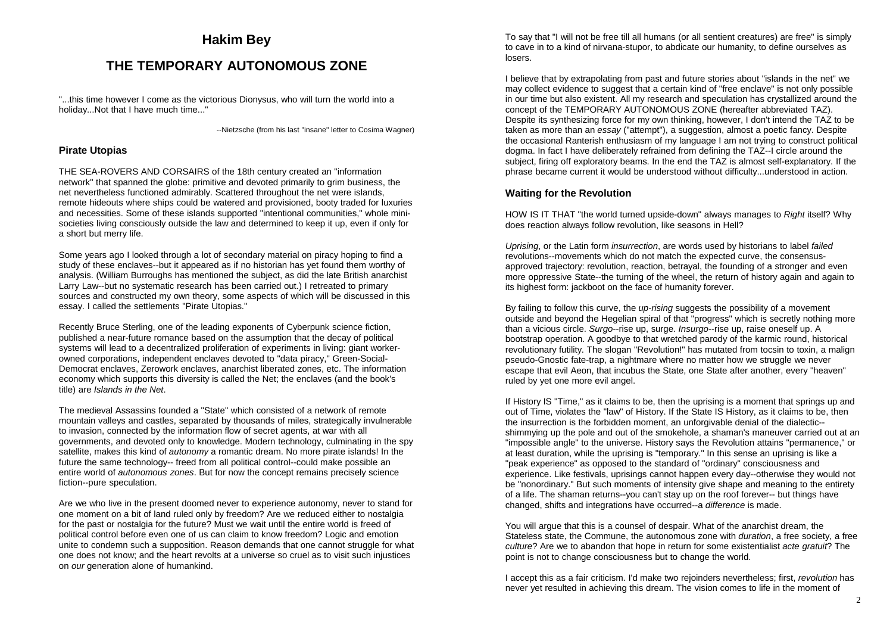# **Hakim Bey**

# **THE TEMPORARY AUTONOMOUS ZONE**

"...this time however I come as the victorious Dionysus, who will turn the world into a holiday...Not that I have much time..."

--Nietzsche (from his last "insane" letter to Cosima Wagner)

#### **Pirate Utopias**

THE SEA-ROVERS AND CORSAIRS of the 18th century created an "information network" that spanned the globe: primitive and devoted primarily to grim business, the net nevertheless functioned admirably. Scattered throughout the net were islands, remote hideouts where ships could be watered and provisioned, booty traded for luxuries and necessities. Some of these islands supported "intentional communities," whole minisocieties living consciously outside the law and determined to keep it up, even if only for a short but merry life.

Some years ago I looked through a lot of secondary material on piracy hoping to find a study of these enclaves--but it appeared as if no historian has yet found them worthy of analysis. (William Burroughs has mentioned the subject, as did the late British anarchist Larry Law--but no systematic research has been carried out.) I retreated to primary sources and constructed my own theory, some aspects of which will be discussed in this essay. I called the settlements "Pirate Utopias."

Recently Bruce Sterling, one of the leading exponents of Cyberpunk science fiction, published a near-future romance based on the assumption that the decay of political systems will lead to a decentralized proliferation of experiments in living: giant workerowned corporations, independent enclaves devoted to "data piracy," Green-Social-Democrat enclaves, Zerowork enclaves, anarchist liberated zones, etc. The information economy which supports this diversity is called the Net; the enclaves (and the book's title) are *Islands in the Net*.

The medieval Assassins founded a "State" which consisted of a network of remote mountain valleys and castles, separated by thousands of miles, strategically invulnerable to invasion, connected by the information flow of secret agents, at war with all governments, and devoted only to knowledge. Modern technology, culminating in the spy satellite, makes this kind of *autonomy* a romantic dream. No more pirate islands! In the future the same technology-- freed from all political control--could make possible an entire world of *autonomous zones*. But for now the concept remains precisely science fiction--pure speculation.

Are we who live in the present doomed never to experience autonomy, never to stand for one moment on a bit of land ruled only by freedom? Are we reduced either to nostalgia for the past or nostalgia for the future? Must we wait until the entire world is freed of political control before even one of us can claim to know freedom? Logic and emotion unite to condemn such a supposition. Reason demands that one cannot struggle for what one does not know; and the heart revolts at a universe so cruel as to visit such injustices on *our* generation alone of humankind.

To say that "I will not be free till all humans (or all sentient creatures) are free" is simply to cave in to a kind of nirvana-stupor, to abdicate our humanity, to define ourselves as losers.

I believe that by extrapolating from past and future stories about "islands in the net" we may collect evidence to suggest that a certain kind of "free enclave" is not only possible in our time but also existent. All my research and speculation has crystallized around the concept of the TEMPORARY AUTONOMOUS ZONE (hereafter abbreviated TAZ). Despite its synthesizing force for my own thinking, however, I don't intend the TAZ to be taken as more than an *essay* ("attempt"), a suggestion, almost a poetic fancy. Despite the occasional Ranterish enthusiasm of my language I am not trying to construct political dogma. In fact I have deliberately refrained from defining the TAZ--I circle around the subject, firing off exploratory beams. In the end the TAZ is almost self-explanatory. If the phrase became current it would be understood without difficulty...understood in action.

### **Waiting for the Revolution**

HOW IS IT THAT "the world turned upside-down" always manages to *Right* itself? Why does reaction always follow revolution, like seasons in Hell?

*Uprising*, or the Latin form *insurrection*, are words used by historians to label *failed* revolutions--movements which do not match the expected curve, the consensusapproved trajectory: revolution, reaction, betrayal, the founding of a stronger and even more oppressive State--the turning of the wheel, the return of history again and again to its highest form: jackboot on the face of humanity forever.

By failing to follow this curve, the *up-rising* suggests the possibility of a movement outside and beyond the Hegelian spiral of that "progress" which is secretly nothing more than a vicious circle. *Surgo*--rise up, surge. *Insurgo*--rise up, raise oneself up. A bootstrap operation. A goodbye to that wretched parody of the karmic round, historical revolutionary futility. The slogan "Revolution!" has mutated from tocsin to toxin, a malign pseudo-Gnostic fate-trap, a nightmare where no matter how we struggle we never escape that evil Aeon, that incubus the State, one State after another, every "heaven" ruled by yet one more evil angel.

If History IS "Time," as it claims to be, then the uprising is a moment that springs up and out of Time, violates the "law" of History. If the State IS History, as it claims to be, then the insurrection is the forbidden moment, an unforgivable denial of the dialectic- shimmying up the pole and out of the smokehole, a shaman's maneuver carried out at an "impossible angle" to the universe. History says the Revolution attains "permanence," or at least duration, while the uprising is "temporary." In this sense an uprising is like a "peak experience" as opposed to the standard of "ordinary" consciousness and experience. Like festivals, uprisings cannot happen every day--otherwise they would not be "nonordinary." But such moments of intensity give shape and meaning to the entirety of a life. The shaman returns--you can't stay up on the roof forever-- but things have changed, shifts and integrations have occurred--a *difference* is made.

You will argue that this is a counsel of despair. What of the anarchist dream, the Stateless state, the Commune, the autonomous zone with *duration*, a free society, a free *culture*? Are we to abandon that hope in return for some existentialist *acte gratuit*? The point is not to change consciousness but to change the world.

I accept this as a fair criticism. I'd make two rejoinders nevertheless; first, *revolution* has never yet resulted in achieving this dream. The vision comes to life in the moment of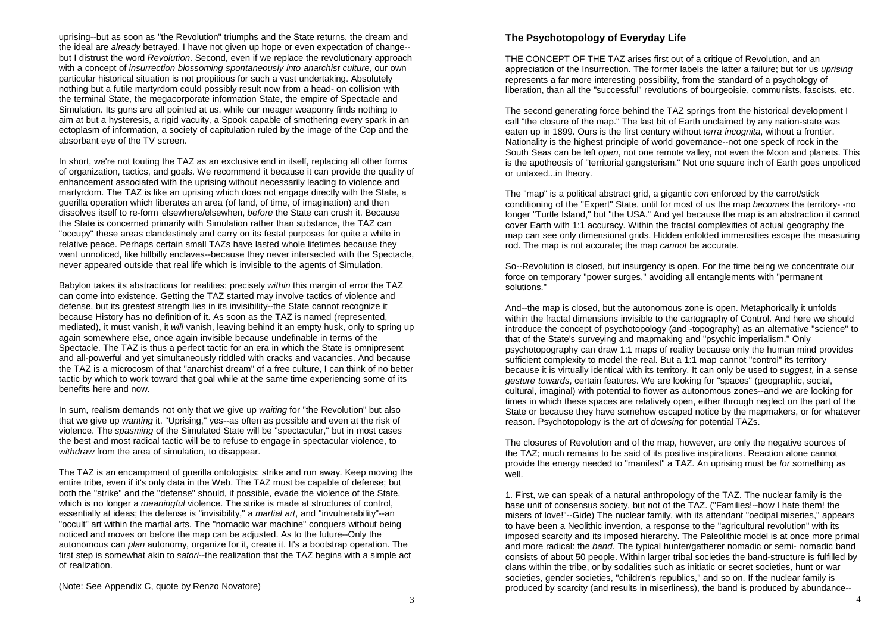uprising--but as soon as "the Revolution" triumphs and the State returns, the dream and the ideal are *already* betrayed. I have not given up hope or even expectation of change- but I distrust the word *Revolution*. Second, even if we replace the revolutionary approach with a concept of *insurrection blossoming spontaneously into anarchist culture*, our own particular historical situation is not propitious for such a vast undertaking. Absolutely nothing but a futile martyrdom could possibly result now from a head- on collision with the terminal State, the megacorporate information State, the empire of Spectacle and Simulation. Its guns are all pointed at us, while our meager weaponry finds nothing to aim at but a hysteresis, a rigid vacuity, a Spook capable of smothering every spark in an ectoplasm of information, a society of capitulation ruled by the image of the Cop and the absorbant eye of the TV screen.

In short, we're not touting the TAZ as an exclusive end in itself, replacing all other forms of organization, tactics, and goals. We recommend it because it can provide the quality of enhancement associated with the uprising without necessarily leading to violence and martyrdom. The TAZ is like an uprising which does not engage directly with the State, a guerilla operation which liberates an area (of land, of time, of imagination) and then dissolves itself to re-form elsewhere/elsewhen, *before* the State can crush it. Because the State is concerned primarily with Simulation rather than substance, the TAZ can "occupy" these areas clandestinely and carry on its festal purposes for quite a while in relative peace. Perhaps certain small TAZs have lasted whole lifetimes because they went unnoticed, like hillbilly enclaves--because they never intersected with the Spectacle, never appeared outside that real life which is invisible to the agents of Simulation.

Babylon takes its abstractions for realities; precisely *within* this margin of error the TAZ can come into existence. Getting the TAZ started may involve tactics of violence and defense, but its greatest strength lies in its invisibility--the State cannot recognize it because History has no definition of it. As soon as the TAZ is named (represented, mediated), it must vanish, it *will* vanish, leaving behind it an empty husk, only to spring up again somewhere else, once again invisible because undefinable in terms of the Spectacle. The TAZ is thus a perfect tactic for an era in which the State is omnipresent and all-powerful and yet simultaneously riddled with cracks and vacancies. And because the TAZ is a microcosm of that "anarchist dream" of a free culture, I can think of no better tactic by which to work toward that goal while at the same time experiencing some of its benefits here and now.

In sum, realism demands not only that we give up *waiting* for "the Revolution" but also that we give up *wanting* it. "Uprising," yes--as often as possible and even at the risk of violence. The *spasming* of the Simulated State will be "spectacular," but in most cases the best and most radical tactic will be to refuse to engage in spectacular violence, to *withdraw* from the area of simulation, to disappear.

The TAZ is an encampment of guerilla ontologists: strike and run away. Keep moving the entire tribe, even if it's only data in the Web. The TAZ must be capable of defense; but both the "strike" and the "defense" should, if possible, evade the violence of the State, which is no longer a *meaningful* violence. The strike is made at structures of control, essentially at ideas; the defense is "invisibility," a *martial art*, and "invulnerability"--an "occult" art within the martial arts. The "nomadic war machine" conquers without being noticed and moves on before the map can be adjusted. As to the future--Only the autonomous can *plan* autonomy, organize for it, create it. It's a bootstrap operation. The first step is somewhat akin to *satori*--the realization that the TAZ begins with a simple act of realization.

# **The Psychotopology of Everyday Life**

THE CONCEPT OF THE TAZ arises first out of a critique of Revolution, and an appreciation of the Insurrection. The former labels the latter a failure; but for us *uprising* represents a far more interesting possibility, from the standard of a psychology of liberation, than all the "successful" revolutions of bourgeoisie, communists, fascists, etc.

The second generating force behind the TAZ springs from the historical development I call "the closure of the map." The last bit of Earth unclaimed by any nation-state was eaten up in 1899. Ours is the first century without *terra incognita*, without a frontier. Nationality is the highest principle of world governance--not one speck of rock in the South Seas can be left *open*, not one remote valley, not even the Moon and planets. This is the apotheosis of "territorial gangsterism." Not one square inch of Earth goes unpoliced or untaxed...in theory.

The "map" is a political abstract grid, a gigantic *con* enforced by the carrot/stick conditioning of the "Expert" State, until for most of us the map *becomes* the territory- -no longer "Turtle Island," but "the USA." And yet because the map is an abstraction it cannot cover Earth with 1:1 accuracy. Within the fractal complexities of actual geography the map can see only dimensional grids. Hidden enfolded immensities escape the measuring rod. The map is not accurate; the map *cannot* be accurate.

So--Revolution is closed, but insurgency is open. For the time being we concentrate our force on temporary "power surges," avoiding all entanglements with "permanent solutions."

And--the map is closed, but the autonomous zone is open. Metaphorically it unfolds within the fractal dimensions invisible to the cartography of Control. And here we should introduce the concept of psychotopology (and -topography) as an alternative "science" to that of the State's surveying and mapmaking and "psychic imperialism." Only psychotopography can draw 1:1 maps of reality because only the human mind provides sufficient complexity to model the real. But a 1:1 map cannot "control" its territory because it is virtually identical with its territory. It can only be used to *suggest*, in a sense *gesture towards*, certain features. We are looking for "spaces" (geographic, social, cultural, imaginal) with potential to flower as autonomous zones--and we are looking for times in which these spaces are relatively open, either through neglect on the part of the State or because they have somehow escaped notice by the mapmakers, or for whatever reason. Psychotopology is the art of *dowsing* for potential TAZs.

The closures of Revolution and of the map, however, are only the negative sources of the TAZ; much remains to be said of its positive inspirations. Reaction alone cannot provide the energy needed to "manifest" a TAZ. An uprising must be *for* something as well.

1. First, we can speak of a natural anthropology of the TAZ. The nuclear family is the base unit of consensus society, but not of the TAZ. ("Families!--how I hate them! the misers of love!"--Gide) The nuclear family, with its attendant "oedipal miseries," appears to have been a Neolithic invention, a response to the "agricultural revolution" with its imposed scarcity and its imposed hierarchy. The Paleolithic model is at once more primal and more radical: the *band*. The typical hunter/gatherer nomadic or semi- nomadic band consists of about 50 people. Within larger tribal societies the band-structure is fulfilled by clans within the tribe, or by sodalities such as initiatic or secret societies, hunt or war societies, gender societies, "children's republics," and so on. If the nuclear family is produced by scarcity (and results in miserliness), the band is produced by abundance--

(Note: See Appendix C, quote by Renzo Novatore)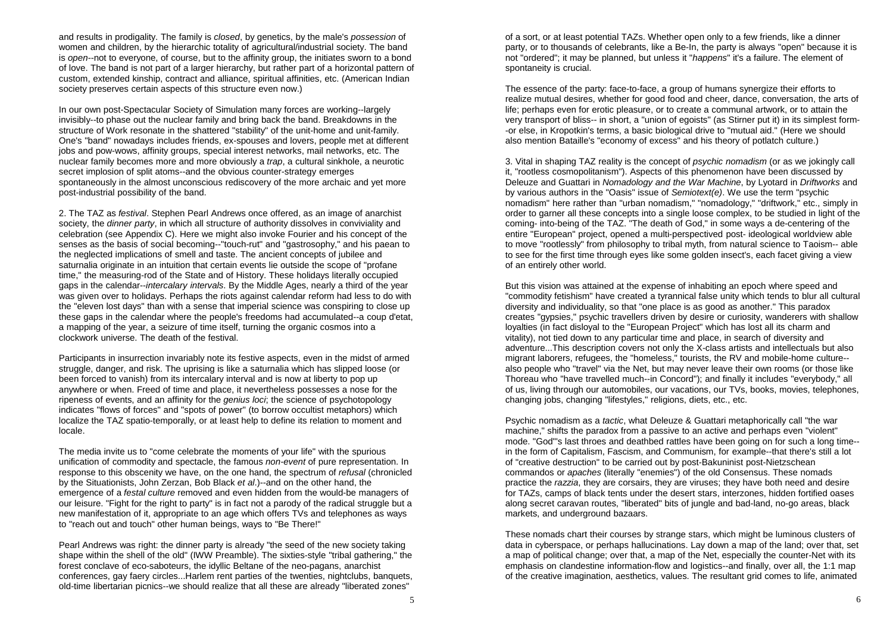and results in prodigality. The family is *closed*, by genetics, by the male's *possession* of women and children, by the hierarchic totality of agricultural/industrial society. The band is *open*--not to everyone, of course, but to the affinity group, the initiates sworn to a bond of love. The band is not part of a larger hierarchy, but rather part of a horizontal pattern of custom, extended kinship, contract and alliance, spiritual affinities, etc. (American Indian society preserves certain aspects of this structure even now.)

In our own post-Spectacular Society of Simulation many forces are working--largely invisibly--to phase out the nuclear family and bring back the band. Breakdowns in the structure of Work resonate in the shattered "stability" of the unit-home and unit-family. One's "band" nowadays includes friends, ex-spouses and lovers, people met at different jobs and pow-wows, affinity groups, special interest networks, mail networks, etc. The nuclear family becomes more and more obviously a *trap*, a cultural sinkhole, a neurotic secret implosion of split atoms--and the obvious counter-strategy emerges spontaneously in the almost unconscious rediscovery of the more archaic and yet more post-industrial possibility of the band.

2. The TAZ as *festival*. Stephen Pearl Andrews once offered, as an image of anarchist society, the *dinner party*, in which all structure of authority dissolves in conviviality and celebration (see Appendix C). Here we might also invoke Fourier and his concept of the senses as the basis of social becoming--"touch-rut" and "gastrosophy," and his paean to the neglected implications of smell and taste. The ancient concepts of jubilee and saturnalia originate in an intuition that certain events lie outside the scope of "profane time," the measuring-rod of the State and of History. These holidays literally occupied gaps in the calendar--*intercalary intervals*. By the Middle Ages, nearly a third of the year was given over to holidays. Perhaps the riots against calendar reform had less to do with the "eleven lost days" than with a sense that imperial science was conspiring to close up these gaps in the calendar where the people's freedoms had accumulated--a coup d'etat, a mapping of the year, a seizure of time itself, turning the organic cosmos into a clockwork universe. The death of the festival.

Participants in insurrection invariably note its festive aspects, even in the midst of armed struggle, danger, and risk. The uprising is like a saturnalia which has slipped loose (or been forced to vanish) from its intercalary interval and is now at liberty to pop up anywhere or when. Freed of time and place, it nevertheless possesses a nose for the ripeness of events, and an affinity for the *genius loci*; the science of psychotopology indicates "flows of forces" and "spots of power" (to borrow occultist metaphors) which localize the TAZ spatio-temporally, or at least help to define its relation to moment and locale.

The media invite us to "come celebrate the moments of your life" with the spurious unification of commodity and spectacle, the famous *non-event* of pure representation. In response to this obscenity we have, on the one hand, the spectrum of *refusal* (chronicled by the Situationists, John Zerzan, Bob Black *et al*.)--and on the other hand, the emergence of a *festal culture* removed and even hidden from the would-be managers of our leisure. "Fight for the right to party" is in fact not a parody of the radical struggle but a new manifestation of it, appropriate to an age which offers TVs and telephones as ways to "reach out and touch" other human beings, ways to "Be There!"

Pearl Andrews was right: the dinner party is already "the seed of the new society taking shape within the shell of the old" (IWW Preamble). The sixties-style "tribal gathering," the forest conclave of eco-saboteurs, the idyllic Beltane of the neo-pagans, anarchist conferences, gay faery circles...Harlem rent parties of the twenties, nightclubs, banquets, old-time libertarian picnics--we should realize that all these are already "liberated zones"

of a sort, or at least potential TAZs. Whether open only to a few friends, like a dinner party, or to thousands of celebrants, like a Be-In, the party is always "open" because it is not "ordered"; it may be planned, but unless it "*happens*" it's a failure. The element of spontaneity is crucial.

The essence of the party: face-to-face, a group of humans synergize their efforts to realize mutual desires, whether for good food and cheer, dance, conversation, the arts of life; perhaps even for erotic pleasure, or to create a communal artwork, or to attain the very transport of bliss-- in short, a "union of egoists" (as Stirner put it) in its simplest form- -or else, in Kropotkin's terms, a basic biological drive to "mutual aid." (Here we should also mention Bataille's "economy of excess" and his theory of potlatch culture.)

3. Vital in shaping TAZ reality is the concept of *psychic nomadism* (or as we jokingly call it, "rootless cosmopolitanism"). Aspects of this phenomenon have been discussed by Deleuze and Guattari in *Nomadology and the War Machine*, by Lyotard in *Driftworks* and by various authors in the "Oasis" issue of *Semiotext(e)*. We use the term "psychic nomadism" here rather than "urban nomadism," "nomadology," "driftwork," etc., simply in order to garner all these concepts into a single loose complex, to be studied in light of the coming- into-being of the TAZ. "The death of God," in some ways a de-centering of the entire "European" project, opened a multi-perspectived post- ideological worldview able to move "rootlessly" from philosophy to tribal myth, from natural science to Taoism-- able to see for the first time through eyes like some golden insect's, each facet giving a view of an entirely other world.

But this vision was attained at the expense of inhabiting an epoch where speed and "commodity fetishism" have created a tyrannical false unity which tends to blur all cultural diversity and individuality, so that "one place is as good as another." This paradox creates "gypsies," psychic travellers driven by desire or curiosity, wanderers with shallow loyalties (in fact disloyal to the "European Project" which has lost all its charm and vitality), not tied down to any particular time and place, in search of diversity and adventure...This description covers not only the X-class artists and intellectuals but also migrant laborers, refugees, the "homeless," tourists, the RV and mobile-home culture- also people who "travel" via the Net, but may never leave their own rooms (or those like Thoreau who "have travelled much--in Concord"); and finally it includes "everybody," all of us, living through our automobiles, our vacations, our TVs, books, movies, telephones, changing jobs, changing "lifestyles," religions, diets, etc., etc.

Psychic nomadism as a *tactic*, what Deleuze & Guattari metaphorically call "the war machine," shifts the paradox from a passive to an active and perhaps even "violent" mode. "God"'s last throes and deathbed rattles have been going on for such a long time- in the form of Capitalism, Fascism, and Communism, for example--that there's still a lot of "creative destruction" to be carried out by post-Bakuninist post-Nietzschean commandos or *apaches* (literally "enemies") of the old Consensus. These nomads practice the *razzia*, they are corsairs, they are viruses; they have both need and desire for TAZs, camps of black tents under the desert stars, interzones, hidden fortified oases along secret caravan routes, "liberated" bits of jungle and bad-land, no-go areas, black markets, and underground bazaars.

These nomads chart their courses by strange stars, which might be luminous clusters of data in cyberspace, or perhaps hallucinations. Lay down a map of the land; over that, set a map of political change; over that, a map of the Net, especially the counter-Net with its emphasis on clandestine information-flow and logistics--and finally, over all, the 1:1 map of the creative imagination, aesthetics, values. The resultant grid comes to life, animated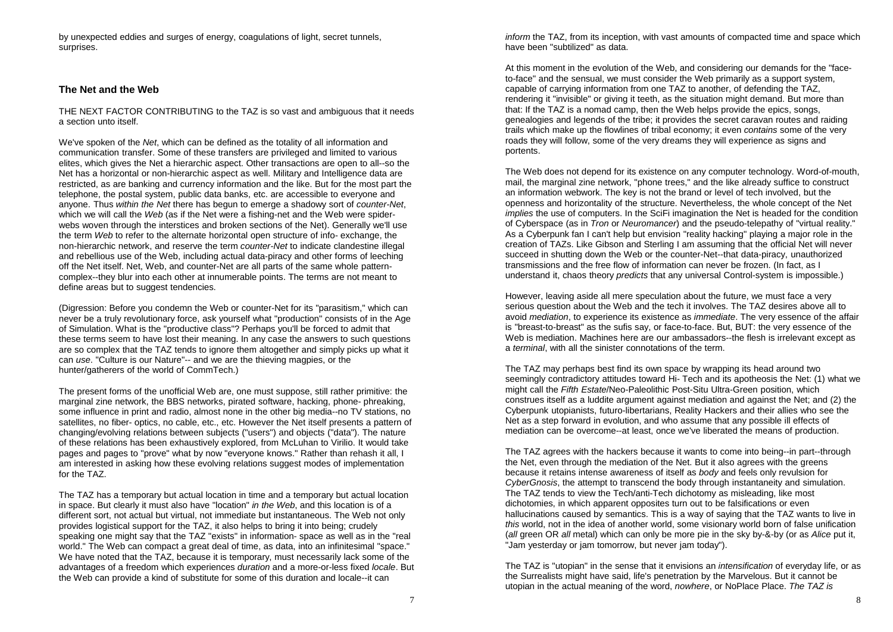by unexpected eddies and surges of energy, coagulations of light, secret tunnels, surprises.

### **The Net and the Web**

THE NEXT FACTOR CONTRIBUTING to the TAZ is so vast and ambiguous that it needs a section unto itself.

We've spoken of the *Net*, which can be defined as the totality of all information and communication transfer. Some of these transfers are privileged and limited to various elites, which gives the Net a hierarchic aspect. Other transactions are open to all--so the Net has a horizontal or non-hierarchic aspect as well. Military and Intelligence data are restricted, as are banking and currency information and the like. But for the most part the telephone, the postal system, public data banks, etc. are accessible to everyone and anyone. Thus *within the Net* there has begun to emerge a shadowy sort of *counter-Net*, which we will call the *Web* (as if the Net were a fishing-net and the Web were spiderwebs woven through the interstices and broken sections of the Net). Generally we'll use the term *Web* to refer to the alternate horizontal open structure of info- exchange, the non-hierarchic network, and reserve the term *counter-Net* to indicate clandestine illegal and rebellious use of the Web, including actual data-piracy and other forms of leeching off the Net itself. Net, Web, and counter-Net are all parts of the same whole patterncomplex--they blur into each other at innumerable points. The terms are not meant to define areas but to suggest tendencies.

(Digression: Before you condemn the Web or counter-Net for its "parasitism," which can never be a truly revolutionary force, ask yourself what "production" consists of in the Age of Simulation. What is the "productive class"? Perhaps you'll be forced to admit that these terms seem to have lost their meaning. In any case the answers to such questions are so complex that the TAZ tends to ignore them altogether and simply picks up what it can *use*. "Culture is our Nature"-- and we are the thieving magpies, or the hunter/gatherers of the world of CommTech.)

The present forms of the unofficial Web are, one must suppose, still rather primitive: the marginal zine network, the BBS networks, pirated software, hacking, phone- phreaking, some influence in print and radio, almost none in the other big media--no TV stations, no satellites, no fiber- optics, no cable, etc., etc. However the Net itself presents a pattern of changing/evolving relations between subjects ("users") and objects ("data"). The nature of these relations has been exhaustively explored, from McLuhan to Virilio. It would take pages and pages to "prove" what by now "everyone knows." Rather than rehash it all, I am interested in asking how these evolving relations suggest modes of implementation for the TAZ.

The TAZ has a temporary but actual location in time and a temporary but actual location in space. But clearly it must also have "location" *in the Web*, and this location is of a different sort, not actual but virtual, not immediate but instantaneous. The Web not only provides logistical support for the TAZ, it also helps to bring it into being; crudely speaking one might say that the TAZ "exists" in information- space as well as in the "real world." The Web can compact a great deal of time, as data, into an infinitesimal "space." We have noted that the TAZ, because it is temporary, must necessarily lack some of the advantages of a freedom which experiences *duration* and a more-or-less fixed *locale*. But the Web can provide a kind of substitute for some of this duration and locale--it can

*inform* the TAZ, from its inception, with vast amounts of compacted time and space which have been "subtilized" as data.

At this moment in the evolution of the Web, and considering our demands for the "faceto-face" and the sensual, we must consider the Web primarily as a support system, capable of carrying information from one TAZ to another, of defending the TAZ, rendering it "invisible" or giving it teeth, as the situation might demand. But more than that: If the TAZ is a nomad camp, then the Web helps provide the epics, songs, genealogies and legends of the tribe; it provides the secret caravan routes and raiding trails which make up the flowlines of tribal economy; it even *contains* some of the very roads they will follow, some of the very dreams they will experience as signs and portents.

The Web does not depend for its existence on any computer technology. Word-of-mouth, mail, the marginal zine network, "phone trees," and the like already suffice to construct an information webwork. The key is not the brand or level of tech involved, but the openness and horizontality of the structure. Nevertheless, the whole concept of the Net *implies* the use of computers. In the SciFi imagination the Net is headed for the condition of Cyberspace (as in *Tron* or *Neuromancer*) and the pseudo-telepathy of "virtual reality." As a Cyberpunk fan I can't help but envision "reality hacking" playing a major role in the creation of TAZs. Like Gibson and Sterling I am assuming that the official Net will never succeed in shutting down the Web or the counter-Net--that data-piracy, unauthorized transmissions and the free flow of information can never be frozen. (In fact, as I understand it, chaos theory *predicts* that any universal Control-system is impossible.)

However, leaving aside all mere speculation about the future, we must face a very serious question about the Web and the tech it involves. The TAZ desires above all to avoid *mediation*, to experience its existence as *immediate*. The very essence of the affair is "breast-to-breast" as the sufis say, or face-to-face. But, BUT: the very essence of the Web is mediation. Machines here are our ambassadors--the flesh is irrelevant except as <sup>a</sup>*terminal*, with all the sinister connotations of the term.

The TAZ may perhaps best find its own space by wrapping its head around two seemingly contradictory attitudes toward Hi- Tech and its apotheosis the Net: (1) what we might call the *Fifth Estate*/Neo-Paleolithic Post-Situ Ultra-Green position, which construes itself as a luddite argument against mediation and against the Net; and (2) the Cyberpunk utopianists, futuro-libertarians, Reality Hackers and their allies who see the Net as a step forward in evolution, and who assume that any possible ill effects of mediation can be overcome--at least, once we've liberated the means of production.

The TAZ agrees with the hackers because it wants to come into being--in part--through the Net, even through the mediation of the Net. But it also agrees with the greens because it retains intense awareness of itself as *body* and feels only revulsion for *CyberGnosis*, the attempt to transcend the body through instantaneity and simulation. The TAZ tends to view the Tech/anti-Tech dichotomy as misleading, like most dichotomies, in which apparent opposites turn out to be falsifications or even hallucinations caused by semantics. This is a way of saying that the TAZ wants to live in *this* world, not in the idea of another world, some visionary world born of false unification (*all* green OR *all* metal) which can only be more pie in the sky by-&-by (or as *Alice* put it, "Jam yesterday or jam tomorrow, but never jam today").

The TAZ is "utopian" in the sense that it envisions an *intensification* of everyday life, or as the Surrealists might have said, life's penetration by the Marvelous. But it cannot be utopian in the actual meaning of the word, *nowhere*, or NoPlace Place. *The TAZ is*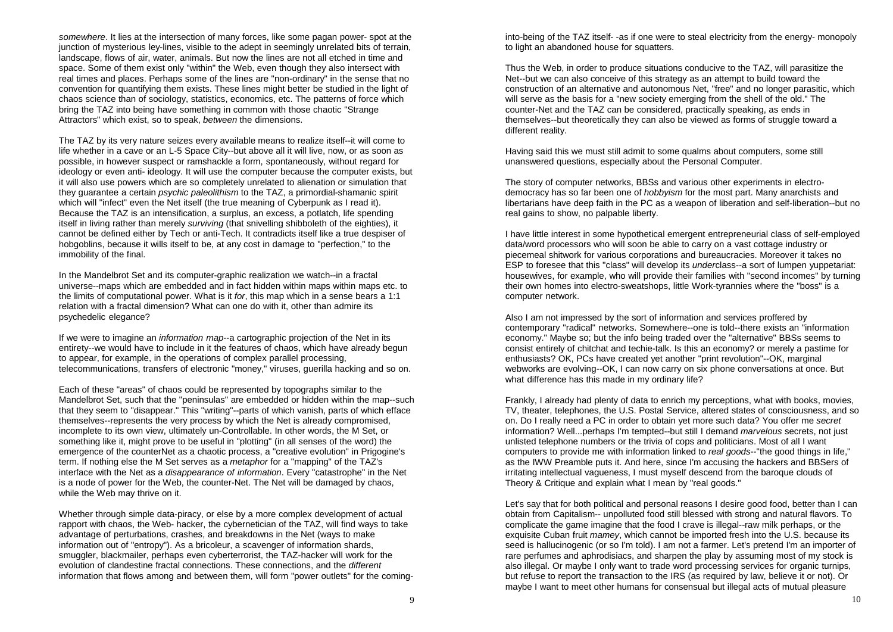*somewhere*. It lies at the intersection of many forces, like some pagan power- spot at the junction of mysterious ley-lines, visible to the adept in seemingly unrelated bits of terrain, landscape, flows of air, water, animals. But now the lines are not all etched in time and space. Some of them exist only "within" the Web, even though they also intersect with real times and places. Perhaps some of the lines are "non-ordinary" in the sense that no convention for quantifying them exists. These lines might better be studied in the light of chaos science than of sociology, statistics, economics, etc. The patterns of force which bring the TAZ into being have something in common with those chaotic "Strange Attractors" which exist, so to speak, *between* the dimensions.

The TAZ by its very nature seizes every available means to realize itself--it will come to life whether in a cave or an L-5 Space City--but above all it will live, now, or as soon as possible, in however suspect or ramshackle a form, spontaneously, without regard for ideology or even anti- ideology. It will use the computer because the computer exists, but it will also use powers which are so completely unrelated to alienation or simulation that they guarantee a certain *psychic paleolithism* to the TAZ, a primordial-shamanic spirit which will "infect" even the Net itself (the true meaning of Cyberpunk as I read it). Because the TAZ is an intensification, a surplus, an excess, a potlatch, life spending itself in living rather than merely *surviving* (that snivelling shibboleth of the eighties), it cannot be defined either by Tech or anti-Tech. It contradicts itself like a true despiser of hobgoblins, because it wills itself to be, at any cost in damage to "perfection," to the immobility of the final.

In the Mandelbrot Set and its computer-graphic realization we watch--in a fractal universe--maps which are embedded and in fact hidden within maps within maps etc. to the limits of computational power. What is it *for*, this map which in a sense bears a 1:1 relation with a fractal dimension? What can one do with it, other than admire its psychedelic elegance?

If we were to imagine an *information map*--a cartographic projection of the Net in its entirety--we would have to include in it the features of chaos, which have already begun to appear, for example, in the operations of complex parallel processing, telecommunications, transfers of electronic "money," viruses, guerilla hacking and so on.

Each of these "areas" of chaos could be represented by topographs similar to the Mandelbrot Set, such that the "peninsulas" are embedded or hidden within the map--such that they seem to "disappear." This "writing"--parts of which vanish, parts of which efface themselves--represents the very process by which the Net is already compromised, incomplete to its own view, ultimately un-Controllable. In other words, the M Set, or something like it, might prove to be useful in "plotting" (in all senses of the word) the emergence of the counterNet as a chaotic process, a "creative evolution" in Prigogine's term. If nothing else the M Set serves as a *metaphor* for a "mapping" of the TAZ's interface with the Net as a *disappearance of information*. Every "catastrophe" in the Net is a node of power for the Web, the counter-Net. The Net will be damaged by chaos, while the Web may thrive on it.

Whether through simple data-piracy, or else by a more complex development of actual rapport with chaos, the Web- hacker, the cybernetician of the TAZ, will find ways to take advantage of perturbations, crashes, and breakdowns in the Net (ways to make information out of "entropy"). As a bricoleur, a scavenger of information shards, smuggler, blackmailer, perhaps even cyberterrorist, the TAZ-hacker will work for the evolution of clandestine fractal connections. These connections, and the *different* information that flows among and between them, will form "power outlets" for the coming-

into-being of the TAZ itself- -as if one were to steal electricity from the energy- monopoly to light an abandoned house for squatters.

Thus the Web, in order to produce situations conducive to the TAZ, will parasitize the Net--but we can also conceive of this strategy as an attempt to build toward the construction of an alternative and autonomous Net, "free" and no longer parasitic, which will serve as the basis for a "new society emerging from the shell of the old." The counter-Net and the TAZ can be considered, practically speaking, as ends in themselves--but theoretically they can also be viewed as forms of struggle toward a different reality.

Having said this we must still admit to some qualms about computers, some still unanswered questions, especially about the Personal Computer.

The story of computer networks, BBSs and various other experiments in electrodemocracy has so far been one of *hobbyism* for the most part. Many anarchists and libertarians have deep faith in the PC as a weapon of liberation and self-liberation--but no real gains to show, no palpable liberty.

I have little interest in some hypothetical emergent entrepreneurial class of self-employed data/word processors who will soon be able to carry on a vast cottage industry or piecemeal shitwork for various corporations and bureaucracies. Moreover it takes no ESP to foresee that this "class" will develop its *under*class--a sort of lumpen yuppetariat: housewives, for example, who will provide their families with "second incomes" by turning their own homes into electro-sweatshops, little Work-tyrannies where the "boss" is a computer network.

Also I am not impressed by the sort of information and services proffered by contemporary "radical" networks. Somewhere--one is told--there exists an "information economy." Maybe so; but the info being traded over the "alternative" BBSs seems to consist entirely of chitchat and techie-talk. Is this an economy? or merely a pastime for enthusiasts? OK, PCs have created yet another "print revolution"--OK, marginal webworks are evolving--OK, I can now carry on six phone conversations at once. But what difference has this made in my ordinary life?

Frankly, I already had plenty of data to enrich my perceptions, what with books, movies, TV, theater, telephones, the U.S. Postal Service, altered states of consciousness, and so on. Do I really need a PC in order to obtain yet more such data? You offer me *secret* information? Well...perhaps I'm tempted--but still I demand *marvelous* secrets, not just unlisted telephone numbers or the trivia of cops and politicians. Most of all I want computers to provide me with information linked to *real goods*--"the good things in life," as the IWW Preamble puts it. And here, since I'm accusing the hackers and BBSers of irritating intellectual vagueness, I must myself descend from the baroque clouds of Theory & Critique and explain what I mean by "real goods."

Let's say that for both political and personal reasons I desire good food, better than I can obtain from Capitalism-- unpolluted food still blessed with strong and natural flavors. To complicate the game imagine that the food I crave is illegal--raw milk perhaps, or the exquisite Cuban fruit *mamey*, which cannot be imported fresh into the U.S. because its seed is hallucinogenic (or so I'm told). I am not a farmer. Let's pretend I'm an importer of rare perfumes and aphrodisiacs, and sharpen the play by assuming most of my stock is also illegal. Or maybe I only want to trade word processing services for organic turnips, but refuse to report the transaction to the IRS (as required by law, believe it or not). Or maybe I want to meet other humans for consensual but illegal acts of mutual pleasure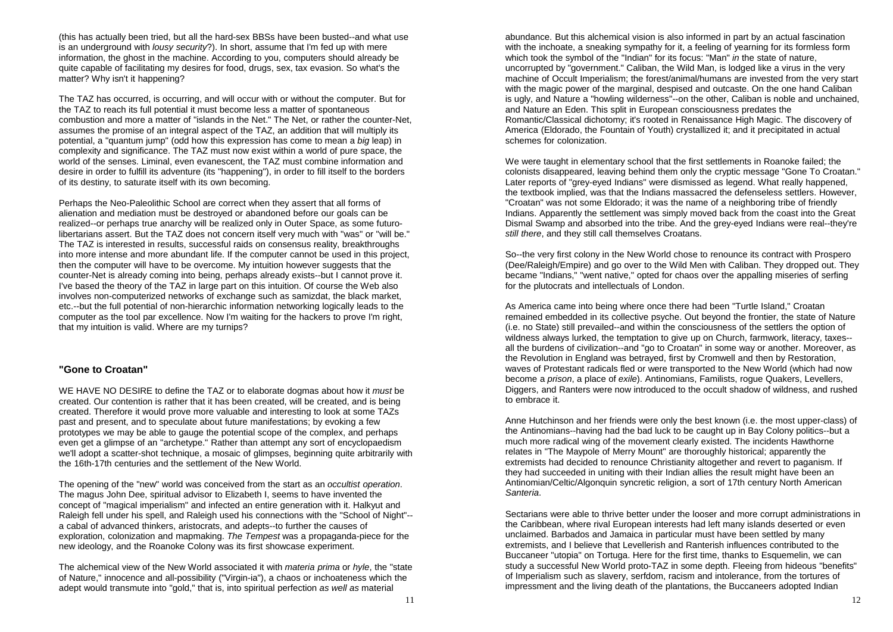(this has actually been tried, but all the hard-sex BBSs have been busted--and what use is an underground with *lousy security*?). In short, assume that I'm fed up with mere information, the ghost in the machine. According to you, computers should already be quite capable of facilitating my desires for food, drugs, sex, tax evasion. So what's the matter? Why isn't it happening?

The TAZ has occurred, is occurring, and will occur with or without the computer. But for the TAZ to reach its full potential it must become less a matter of spontaneous combustion and more a matter of "islands in the Net." The Net, or rather the counter-Net, assumes the promise of an integral aspect of the TAZ, an addition that will multiply its potential, a "quantum jump" (odd how this expression has come to mean a *big* leap) in complexity and significance. The TAZ must now exist within a world of pure space, the world of the senses. Liminal, even evanescent, the TAZ must combine information and desire in order to fulfill its adventure (its "happening"), in order to fill itself to the borders of its destiny, to saturate itself with its own becoming.

Perhaps the Neo-Paleolithic School are correct when they assert that all forms of alienation and mediation must be destroyed or abandoned before our goals can be realized--or perhaps true anarchy will be realized only in Outer Space, as some futurolibertarians assert. But the TAZ does not concern itself very much with "was" or "will be." The TAZ is interested in results, successful raids on consensus reality, breakthroughs into more intense and more abundant life. If the computer cannot be used in this project, then the computer will have to be overcome. My intuition however suggests that the counter-Net is already coming into being, perhaps already exists--but I cannot prove it. I've based the theory of the TAZ in large part on this intuition. Of course the Web also involves non-computerized networks of exchange such as samizdat, the black market, etc.--but the full potential of non-hierarchic information networking logically leads to the computer as the tool par excellence. Now I'm waiting for the hackers to prove I'm right, that my intuition is valid. Where are my turnips?

### **"Gone to Croatan"**

WE HAVE NO DESIRE to define the TAZ or to elaborate dogmas about how it *must* be created. Our contention is rather that it has been created, will be created, and is being created. Therefore it would prove more valuable and interesting to look at some TAZs past and present, and to speculate about future manifestations; by evoking a few prototypes we may be able to gauge the potential scope of the complex, and perhaps even get a glimpse of an "archetype." Rather than attempt any sort of encyclopaedism we'll adopt a scatter-shot technique, a mosaic of glimpses, beginning quite arbitrarily with the 16th-17th centuries and the settlement of the New World.

The opening of the "new" world was conceived from the start as an *occultist operation*. The magus John Dee, spiritual advisor to Elizabeth I, seems to have invented the concept of "magical imperialism" and infected an entire generation with it. Halkyut and Raleigh fell under his spell, and Raleigh used his connections with the "School of Night"- a cabal of advanced thinkers, aristocrats, and adepts--to further the causes of exploration, colonization and mapmaking. *The Tempest* was a propaganda-piece for the new ideology, and the Roanoke Colony was its first showcase experiment.

The alchemical view of the New World associated it with *materia prima* or *hyle*, the "state of Nature," innocence and all-possibility ("Virgin-ia"), a chaos or inchoateness which the adept would transmute into "gold," that is, into spiritual perfection *as well as* material

abundance. But this alchemical vision is also informed in part by an actual fascination with the inchoate, a sneaking sympathy for it, a feeling of yearning for its formless form which took the symbol of the "Indian" for its focus: "Man" *in* the state of nature, uncorrupted by "government." Caliban, the Wild Man, is lodged like a virus in the very machine of Occult Imperialism; the forest/animal/humans are invested from the very start with the magic power of the marginal, despised and outcaste. On the one hand Caliban is ugly, and Nature a "howling wilderness"--on the other, Caliban is noble and unchained, and Nature an Eden. This split in European consciousness predates the Romantic/Classical dichotomy; it's rooted in Renaissance High Magic. The discovery of America (Eldorado, the Fountain of Youth) crystallized it; and it precipitated in actual schemes for colonization.

We were taught in elementary school that the first settlements in Roanoke failed; the colonists disappeared, leaving behind them only the cryptic message "Gone To Croatan." Later reports of "grey-eyed Indians" were dismissed as legend. What really happened, the textbook implied, was that the Indians massacred the defenseless settlers. However, "Croatan" was not some Eldorado; it was the name of a neighboring tribe of friendly Indians. Apparently the settlement was simply moved back from the coast into the Great Dismal Swamp and absorbed into the tribe. And the grey-eyed Indians were real--they're *still there*, and they still call themselves Croatans.

So--the very first colony in the New World chose to renounce its contract with Prospero (Dee/Raleigh/Empire) and go over to the Wild Men with Caliban. They dropped out. They became "Indians," "went native," opted for chaos over the appalling miseries of serfing for the plutocrats and intellectuals of London.

As America came into being where once there had been "Turtle Island," Croatan remained embedded in its collective psyche. Out beyond the frontier, the state of Nature (i.e. no State) still prevailed--and within the consciousness of the settlers the option of wildness always lurked, the temptation to give up on Church, farmwork, literacy, taxes- all the burdens of civilization--and "go to Croatan" in some way or another. Moreover, as the Revolution in England was betrayed, first by Cromwell and then by Restoration, waves of Protestant radicals fled or were transported to the New World (which had now become a *prison*, a place of *exile*). Antinomians, Familists, rogue Quakers, Levellers, Diggers, and Ranters were now introduced to the occult shadow of wildness, and rushed to embrace it.

Anne Hutchinson and her friends were only the best known (i.e. the most upper-class) of the Antinomians--having had the bad luck to be caught up in Bay Colony politics--but a much more radical wing of the movement clearly existed. The incidents Hawthorne relates in "The Maypole of Merry Mount" are thoroughly historical; apparently the extremists had decided to renounce Christianity altogether and revert to paganism. If they had succeeded in uniting with their Indian allies the result might have been an Antinomian/Celtic/Algonquin syncretic religion, a sort of 17th century North American *Santeria*.

Sectarians were able to thrive better under the looser and more corrupt administrations in the Caribbean, where rival European interests had left many islands deserted or even unclaimed. Barbados and Jamaica in particular must have been settled by many extremists, and I believe that Levellerish and Ranterish influences contributed to the Buccaneer "utopia" on Tortuga. Here for the first time, thanks to Esquemelin, we can study a successful New World proto-TAZ in some depth. Fleeing from hideous "benefits" of Imperialism such as slavery, serfdom, racism and intolerance, from the tortures of impressment and the living death of the plantations, the Buccaneers adopted Indian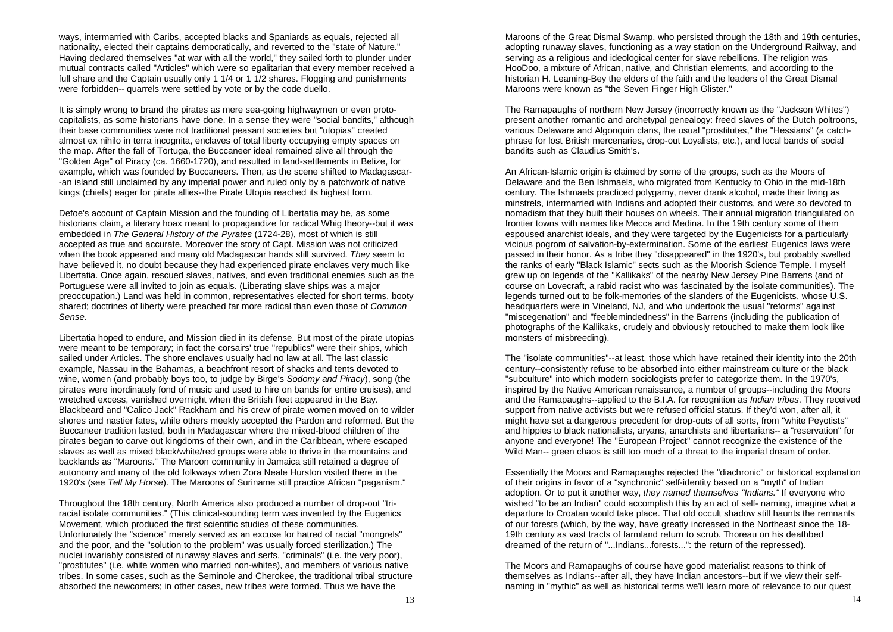ways, intermarried with Caribs, accepted blacks and Spaniards as equals, rejected all nationality, elected their captains democratically, and reverted to the "state of Nature." Having declared themselves "at war with all the world," they sailed forth to plunder under mutual contracts called "Articles" which were so egalitarian that every member received a full share and the Captain usually only 1 1/4 or 1 1/2 shares. Flogging and punishments were forbidden-- quarrels were settled by vote or by the code duello.

It is simply wrong to brand the pirates as mere sea-going highwaymen or even protocapitalists, as some historians have done. In a sense they were "social bandits," although their base communities were not traditional peasant societies but "utopias" created almost ex nihilo in terra incognita, enclaves of total liberty occupying empty spaces on the map. After the fall of Tortuga, the Buccaneer ideal remained alive all through the "Golden Age" of Piracy (ca. 1660-1720), and resulted in land-settlements in Belize, for example, which was founded by Buccaneers. Then, as the scene shifted to Madagascar- -an island still unclaimed by any imperial power and ruled only by a patchwork of native kings (chiefs) eager for pirate allies--the Pirate Utopia reached its highest form.

Defoe's account of Captain Mission and the founding of Libertatia may be, as some historians claim, a literary hoax meant to propagandize for radical Whig theory--but it was embedded in *The General History of the Pyrates* (1724-28), most of which is still accepted as true and accurate. Moreover the story of Capt. Mission was not criticized when the book appeared and many old Madagascar hands still survived. *They* seem to have believed it, no doubt because they had experienced pirate enclaves very much like Libertatia. Once again, rescued slaves, natives, and even traditional enemies such as the Portuguese were all invited to join as equals. (Liberating slave ships was a major preoccupation.) Land was held in common, representatives elected for short terms, booty shared; doctrines of liberty were preached far more radical than even those of *Common Sense*.

Libertatia hoped to endure, and Mission died in its defense. But most of the pirate utopias were meant to be temporary; in fact the corsairs' true "republics" were their ships, which sailed under Articles. The shore enclaves usually had no law at all. The last classic example, Nassau in the Bahamas, a beachfront resort of shacks and tents devoted to wine, women (and probably boys too, to judge by Birge's *Sodomy and Piracy*), song (the pirates were inordinately fond of music and used to hire on bands for entire cruises), and wretched excess, vanished overnight when the British fleet appeared in the Bay. Blackbeard and "Calico Jack" Rackham and his crew of pirate women moved on to wilder shores and nastier fates, while others meekly accepted the Pardon and reformed. But the Buccaneer tradition lasted, both in Madagascar where the mixed-blood children of the pirates began to carve out kingdoms of their own, and in the Caribbean, where escaped slaves as well as mixed black/white/red groups were able to thrive in the mountains and backlands as "Maroons." The Maroon community in Jamaica still retained a degree of autonomy and many of the old folkways when Zora Neale Hurston visited there in the 1920's (see *Tell My Horse*). The Maroons of Suriname still practice African "paganism."

Throughout the 18th century, North America also produced a number of drop-out "triracial isolate communities." (This clinical-sounding term was invented by the Eugenics Movement, which produced the first scientific studies of these communities. Unfortunately the "science" merely served as an excuse for hatred of racial "mongrels" and the poor, and the "solution to the problem" was usually forced sterilization.) The nuclei invariably consisted of runaway slaves and serfs, "criminals" (i.e. the very poor), "prostitutes" (i.e. white women who married non-whites), and members of various native tribes. In some cases, such as the Seminole and Cherokee, the traditional tribal structure absorbed the newcomers; in other cases, new tribes were formed. Thus we have the

Maroons of the Great Dismal Swamp, who persisted through the 18th and 19th centuries, adopting runaway slaves, functioning as a way station on the Underground Railway, and serving as a religious and ideological center for slave rebellions. The religion was HooDoo, a mixture of African, native, and Christian elements, and according to the historian H. Leaming-Bey the elders of the faith and the leaders of the Great Dismal Maroons were known as "the Seven Finger High Glister."

The Ramapaughs of northern New Jersey (incorrectly known as the "Jackson Whites") present another romantic and archetypal genealogy: freed slaves of the Dutch poltroons, various Delaware and Algonquin clans, the usual "prostitutes," the "Hessians" (a catchphrase for lost British mercenaries, drop-out Loyalists, etc.), and local bands of social bandits such as Claudius Smith's.

An African-Islamic origin is claimed by some of the groups, such as the Moors of Delaware and the Ben Ishmaels, who migrated from Kentucky to Ohio in the mid-18th century. The Ishmaels practiced polygamy, never drank alcohol, made their living as minstrels, intermarried with Indians and adopted their customs, and were so devoted to nomadism that they built their houses on wheels. Their annual migration triangulated on frontier towns with names like Mecca and Medina. In the 19th century some of them espoused anarchist ideals, and they were targeted by the Eugenicists for a particularly vicious pogrom of salvation-by-extermination. Some of the earliest Eugenics laws were passed in their honor. As a tribe they "disappeared" in the 1920's, but probably swelled the ranks of early "Black Islamic" sects such as the Moorish Science Temple. I myself grew up on legends of the "Kallikaks" of the nearby New Jersey Pine Barrens (and of course on Lovecraft, a rabid racist who was fascinated by the isolate communities). The legends turned out to be folk-memories of the slanders of the Eugenicists, whose U.S. headquarters were in Vineland, NJ, and who undertook the usual "reforms" against "miscegenation" and "feeblemindedness" in the Barrens (including the publication of photographs of the Kallikaks, crudely and obviously retouched to make them look like monsters of misbreeding).

The "isolate communities"--at least, those which have retained their identity into the 20th century--consistently refuse to be absorbed into either mainstream culture or the black "subculture" into which modern sociologists prefer to categorize them. In the 1970's, inspired by the Native American renaissance, a number of groups--including the Moors and the Ramapaughs--applied to the B.I.A. for recognition as *Indian tribes*. They received support from native activists but were refused official status. If they'd won, after all, it might have set a dangerous precedent for drop-outs of all sorts, from "white Peyotists" and hippies to black nationalists, aryans, anarchists and libertarians-- a "reservation" for anyone and everyone! The "European Project" cannot recognize the existence of the Wild Man-- green chaos is still too much of a threat to the imperial dream of order.

Essentially the Moors and Ramapaughs rejected the "diachronic" or historical explanation of their origins in favor of a "synchronic" self-identity based on a "myth" of Indian adoption. Or to put it another way, *they named themselves "Indians."* If everyone who wished "to be an Indian" could accomplish this by an act of self- naming, imagine what a departure to Croatan would take place. That old occult shadow still haunts the remnants of our forests (which, by the way, have greatly increased in the Northeast since the 18- 19th century as vast tracts of farmland return to scrub. Thoreau on his deathbed dreamed of the return of "...Indians...forests...": the return of the repressed).

The Moors and Ramapaughs of course have good materialist reasons to think of themselves as Indians--after all, they have Indian ancestors--but if we view their selfnaming in "mythic" as well as historical terms we'll learn more of relevance to our quest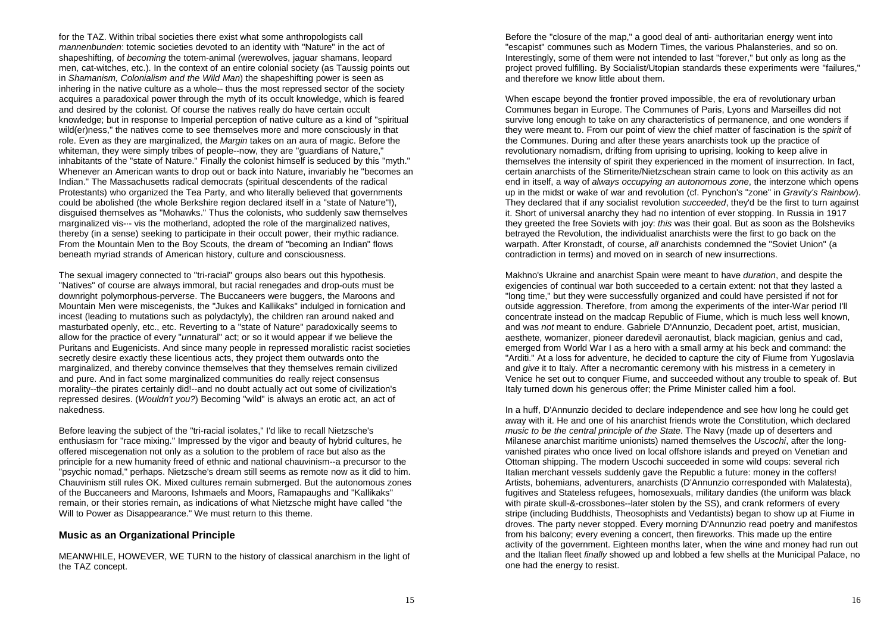for the TAZ. Within tribal societies there exist what some anthropologists call *mannenbunden*: totemic societies devoted to an identity with "Nature" in the act of shapeshifting, of *becoming* the totem-animal (werewolves, jaguar shamans, leopard men, cat-witches, etc.). In the context of an entire colonial society (as Taussig points out in *Shamanism, Colonialism and the Wild Man*) the shapeshifting power is seen as inhering in the native culture as a whole-- thus the most repressed sector of the society acquires a paradoxical power through the myth of its occult knowledge, which is feared and desired by the colonist. Of course the natives really do have certain occult knowledge; but in response to Imperial perception of native culture as a kind of "spiritual wild(er)ness," the natives come to see themselves more and more consciously in that role. Even as they are marginalized, the *Margin* takes on an aura of magic. Before the whiteman, they were simply tribes of people--now, they are "guardians of Nature," inhabitants of the "state of Nature." Finally the colonist himself is seduced by this "myth." Whenever an American wants to drop out or back into Nature, invariably he "becomes an Indian." The Massachusetts radical democrats (spiritual descendents of the radical Protestants) who organized the Tea Party, and who literally believed that governments could be abolished (the whole Berkshire region declared itself in a "state of Nature"!), disguised themselves as "Mohawks." Thus the colonists, who suddenly saw themselves marginalized vis-·- vis the motherland, adopted the role of the marginalized natives, thereby (in a sense) seeking to participate in their occult power, their mythic radiance. From the Mountain Men to the Boy Scouts, the dream of "becoming an Indian" flows beneath myriad strands of American history, culture and consciousness.

The sexual imagery connected to "tri-racial" groups also bears out this hypothesis. "Natives" of course are always immoral, but racial renegades and drop-outs must be downright polymorphous-perverse. The Buccaneers were buggers, the Maroons and Mountain Men were miscegenists, the "Jukes and Kallikaks" indulged in fornication and incest (leading to mutations such as polydactyly), the children ran around naked and masturbated openly, etc., etc. Reverting to a "state of Nature" paradoxically seems to allow for the practice of every "*un*natural" act; or so it would appear if we believe the Puritans and Eugenicists. And since many people in repressed moralistic racist societies secretly desire exactly these licentious acts, they project them outwards onto the marginalized, and thereby convince themselves that they themselves remain civilized and pure. And in fact some marginalized communities do really reject consensus morality--the pirates certainly did!--and no doubt actually act out some of civilization's repressed desires. (*Wouldn't you?*) Becoming "wild" is always an erotic act, an act of nakedness.

Before leaving the subject of the "tri-racial isolates," I'd like to recall Nietzsche's enthusiasm for "race mixing." Impressed by the vigor and beauty of hybrid cultures, he offered miscegenation not only as a solution to the problem of race but also as the principle for a new humanity freed of ethnic and national chauvinism--a precursor to the "psychic nomad," perhaps. Nietzsche's dream still seems as remote now as it did to him. Chauvinism still rules OK. Mixed cultures remain submerged. But the autonomous zones of the Buccaneers and Maroons, Ishmaels and Moors, Ramapaughs and "Kallikaks" remain, or their stories remain, as indications of what Nietzsche might have called "the Will to Power as Disappearance." We must return to this theme.

### **Music as an Organizational Principle**

MEANWHILE, HOWEVER, WE TURN to the history of classical anarchism in the light of the TAZ concept.

Before the "closure of the map," a good deal of anti- authoritarian energy went into "escapist" communes such as Modern Times, the various Phalansteries, and so on. Interestingly, some of them were not intended to last "forever," but only as long as the project proved fulfilling. By Socialist/Utopian standards these experiments were "failures," and therefore we know little about them.

When escape beyond the frontier proved impossible, the era of revolutionary urban Communes began in Europe. The Communes of Paris, Lyons and Marseilles did not survive long enough to take on any characteristics of permanence, and one wonders if they were meant to. From our point of view the chief matter of fascination is the *spirit* of the Communes. During and after these years anarchists took up the practice of revolutionary nomadism, drifting from uprising to uprising, looking to keep alive in themselves the intensity of spirit they experienced in the moment of insurrection. In fact, certain anarchists of the Stirnerite/Nietzschean strain came to look on this activity as an end in itself, a way of *always occupying an autonomous zone*, the interzone which opens up in the midst or wake of war and revolution (cf. Pynchon's "zone" in *Gravity's Rainbow*). They declared that if any socialist revolution *succeeded*, they'd be the first to turn against it. Short of universal anarchy they had no intention of ever stopping. In Russia in 1917 they greeted the free Soviets with joy: *this* was their goal. But as soon as the Bolsheviks betrayed the Revolution, the individualist anarchists were the first to go back on the warpath. After Kronstadt, of course, *all* anarchists condemned the "Soviet Union" (a contradiction in terms) and moved on in search of new insurrections.

Makhno's Ukraine and anarchist Spain were meant to have *duration*, and despite the exigencies of continual war both succeeded to a certain extent: not that they lasted a "long time," but they were successfully organized and could have persisted if not for outside aggression. Therefore, from among the experiments of the inter-War period I'll concentrate instead on the madcap Republic of Fiume, which is much less well known, and was *not* meant to endure. Gabriele D'Annunzio, Decadent poet, artist, musician, aesthete, womanizer, pioneer daredevil aeronautist, black magician, genius and cad, emerged from World War I as a hero with a small army at his beck and command: the "Arditi." At a loss for adventure, he decided to capture the city of Fiume from Yugoslavia and *give* it to Italy. After a necromantic ceremony with his mistress in a cemetery in Venice he set out to conquer Fiume, and succeeded without any trouble to speak of. But Italy turned down his generous offer; the Prime Minister called him a fool.

In a huff, D'Annunzio decided to declare independence and see how long he could get away with it. He and one of his anarchist friends wrote the Constitution, which declared *music to be the central principle of the State*. The Navy (made up of deserters and Milanese anarchist maritime unionists) named themselves the *Uscochi*, after the longvanished pirates who once lived on local offshore islands and preyed on Venetian and Ottoman shipping. The modern Uscochi succeeded in some wild coups: several rich Italian merchant vessels suddenly gave the Republic a future: money in the coffers! Artists, bohemians, adventurers, anarchists (D'Annunzio corresponded with Malatesta), fugitives and Stateless refugees, homosexuals, military dandies (the uniform was black with pirate skull-&-crossbones--later stolen by the SS), and crank reformers of every stripe (including Buddhists, Theosophists and Vedantists) began to show up at Fiume in droves. The party never stopped. Every morning D'Annunzio read poetry and manifestos from his balcony; every evening a concert, then fireworks. This made up the entire activity of the government. Eighteen months later, when the wine and money had run out and the Italian fleet *finally* showed up and lobbed a few shells at the Municipal Palace, no one had the energy to resist.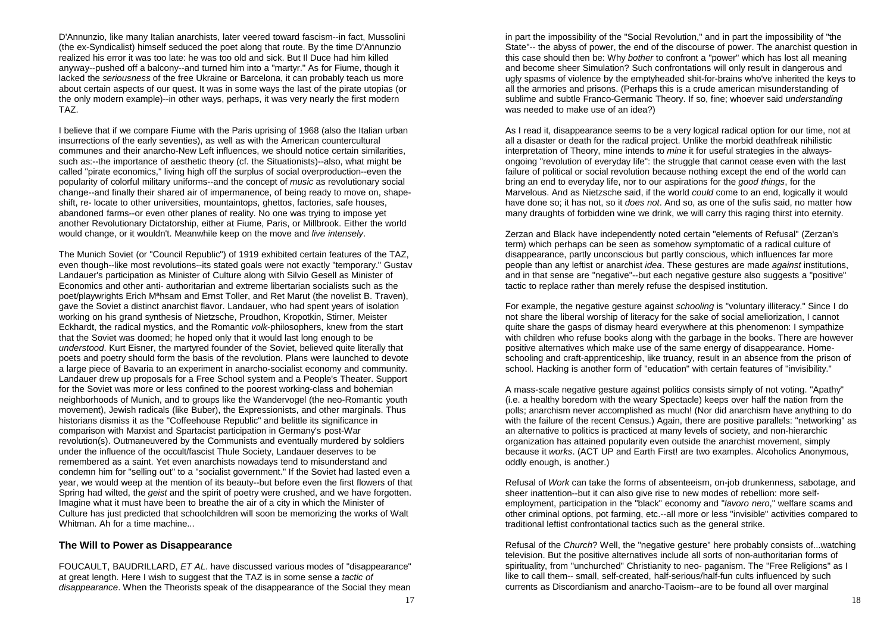D'Annunzio, like many Italian anarchists, later veered toward fascism--in fact, Mussolini (the ex-Syndicalist) himself seduced the poet along that route. By the time D'Annunzio realized his error it was too late: he was too old and sick. But Il Duce had him killed anyway--pushed off a balcony--and turned him into a "martyr." As for Fiume, though it lacked the *seriousness* of the free Ukraine or Barcelona, it can probably teach us more about certain aspects of our quest. It was in some ways the last of the pirate utopias (or the only modern example)--in other ways, perhaps, it was very nearly the first modern TAZ.

I believe that if we compare Fiume with the Paris uprising of 1968 (also the Italian urban insurrections of the early seventies), as well as with the American countercultural communes and their anarcho-New Left influences, we should notice certain similarities, such as:--the importance of aesthetic theory (cf. the Situationists)--also, what might be called "pirate economics," living high off the surplus of social overproduction--even the popularity of colorful military uniforms--and the concept of *music* as revolutionary social change--and finally their shared air of impermanence, of being ready to move on, shapeshift, re- locate to other universities, mountaintops, ghettos, factories, safe houses, abandoned farms--or even other planes of reality. No one was trying to impose yet another Revolutionary Dictatorship, either at Fiume, Paris, or Millbrook. Either the world would change, or it wouldn't. Meanwhile keep on the move and *live intensely*.

The Munich Soviet (or "Council Republic") of 1919 exhibited certain features of the TAZ, even though--like most revolutions--its stated goals were not exactly "temporary." Gustav Landauer's participation as Minister of Culture along with Silvio Gesell as Minister of Economics and other anti- authoritarian and extreme libertarian socialists such as the poet/playwrights Erich Mªhsam and Ernst Toller, and Ret Marut (the novelist B. Traven), gave the Soviet a distinct anarchist flavor. Landauer, who had spent years of isolation working on his grand synthesis of Nietzsche, Proudhon, Kropotkin, Stirner, Meister Eckhardt, the radical mystics, and the Romantic *volk*-philosophers, knew from the start that the Soviet was doomed; he hoped only that it would last long enough to be *understood*. Kurt Eisner, the martyred founder of the Soviet, believed quite literally that poets and poetry should form the basis of the revolution. Plans were launched to devote a large piece of Bavaria to an experiment in anarcho-socialist economy and community. Landauer drew up proposals for a Free School system and a People's Theater. Support for the Soviet was more or less confined to the poorest working-class and bohemian neighborhoods of Munich, and to groups like the Wandervogel (the neo-Romantic youth movement), Jewish radicals (like Buber), the Expressionists, and other marginals. Thus historians dismiss it as the "Coffeehouse Republic" and belittle its significance in comparison with Marxist and Spartacist participation in Germany's post-War revolution(s). Outmaneuvered by the Communists and eventually murdered by soldiers under the influence of the occult/fascist Thule Society, Landauer deserves to be remembered as a saint. Yet even anarchists nowadays tend to misunderstand and condemn him for "selling out" to a "socialist government." If the Soviet had lasted even a year, we would weep at the mention of its beauty--but before even the first flowers of that Spring had wilted, the *geist* and the spirit of poetry were crushed, and we have forgotten. Imagine what it must have been to breathe the air of a city in which the Minister of Culture has just predicted that schoolchildren will soon be memorizing the works of Walt Whitman. Ah for a time machine...

### **The Will to Power as Disappearance**

FOUCAULT, BAUDRILLARD, *ET AL*. have discussed various modes of "disappearance" at great length. Here I wish to suggest that the TAZ is in some sense a *tactic of disappearance*. When the Theorists speak of the disappearance of the Social they mean in part the impossibility of the "Social Revolution," and in part the impossibility of "the State"-- the abyss of power, the end of the discourse of power. The anarchist question in this case should then be: Why *bother* to confront a "power" which has lost all meaning and become sheer Simulation? Such confrontations will only result in dangerous and ugly spasms of violence by the emptyheaded shit-for-brains who've inherited the keys to all the armories and prisons. (Perhaps this is a crude american misunderstanding of sublime and subtle Franco-Germanic Theory. If so, fine; whoever said *understanding* was needed to make use of an idea?)

As I read it, disappearance seems to be a very logical radical option for our time, not at all a disaster or death for the radical project. Unlike the morbid deathfreak nihilistic interpretation of Theory, mine intends to *mine* it for useful strategies in the alwaysongoing "revolution of everyday life": the struggle that cannot cease even with the last failure of political or social revolution because nothing except the end of the world can bring an end to everyday life, nor to our aspirations for the *good things*, for the Marvelous. And as Nietzsche said, if the world *could* come to an end, logically it would have done so; it has not, so it *does not*. And so, as one of the sufis said, no matter how many draughts of forbidden wine we drink, we will carry this raging thirst into eternity.

Zerzan and Black have independently noted certain "elements of Refusal" (Zerzan's term) which perhaps can be seen as somehow symptomatic of a radical culture of disappearance, partly unconscious but partly conscious, which influences far more people than any leftist or anarchist *idea*. These gestures are made *against* institutions, and in that sense are "negative"--but each negative gesture also suggests a "positive" tactic to replace rather than merely refuse the despised institution.

For example, the negative gesture against *schooling* is "voluntary illiteracy." Since I do not share the liberal worship of literacy for the sake of social ameliorization, I cannot quite share the gasps of dismay heard everywhere at this phenomenon: I sympathize with children who refuse books along with the garbage in the books. There are however positive alternatives which make use of the same energy of disappearance. Homeschooling and craft-apprenticeship, like truancy, result in an absence from the prison of school. Hacking is another form of "education" with certain features of "invisibility."

A mass-scale negative gesture against politics consists simply of not voting. "Apathy" (i.e. a healthy boredom with the weary Spectacle) keeps over half the nation from the polls; anarchism never accomplished as much! (Nor did anarchism have anything to do with the failure of the recent Census.) Again, there are positive parallels: "networking" as an alternative to politics is practiced at many levels of society, and non-hierarchic organization has attained popularity even outside the anarchist movement, simply because it *works*. (ACT UP and Earth First! are two examples. Alcoholics Anonymous, oddly enough, is another.)

Refusal of *Work* can take the forms of absenteeism, on-job drunkenness, sabotage, and sheer inattention--but it can also give rise to new modes of rebellion: more selfemployment, participation in the "black" economy and "*lavoro nero*," welfare scams and other criminal options, pot farming, etc.--all more or less "invisible" activities compared to traditional leftist confrontational tactics such as the general strike.

Refusal of the *Church*? Well, the "negative gesture" here probably consists of...watching television. But the positive alternatives include all sorts of non-authoritarian forms of spirituality, from "unchurched" Christianity to neo- paganism. The "Free Religions" as I like to call them-- small, self-created, half-serious/half-fun cults influenced by such currents as Discordianism and anarcho-Taoism--are to be found all over marginal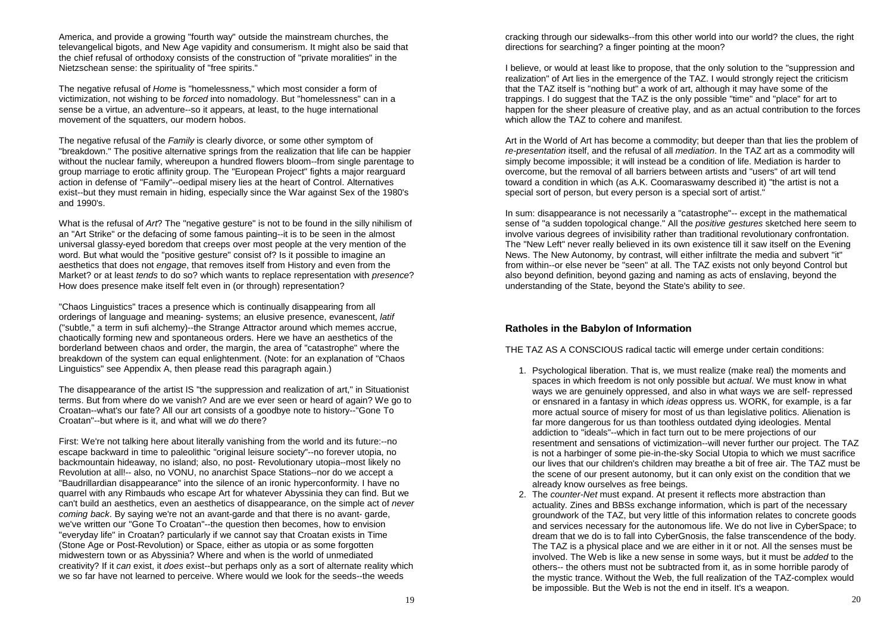America, and provide a growing "fourth way" outside the mainstream churches, the televangelical bigots, and New Age vapidity and consumerism. It might also be said that the chief refusal of orthodoxy consists of the construction of "private moralities" in the Nietzschean sense: the spirituality of "free spirits."

The negative refusal of *Home* is "homelessness," which most consider a form of victimization, not wishing to be *forced* into nomadology. But "homelessness" can in a sense be a virtue, an adventure--so it appears, at least, to the huge international movement of the squatters, our modern hobos.

The negative refusal of the *Family* is clearly divorce, or some other symptom of "breakdown." The positive alternative springs from the realization that life can be happier without the nuclear family, whereupon a hundred flowers bloom--from single parentage to group marriage to erotic affinity group. The "European Project" fights a major rearguard action in defense of "Family"--oedipal misery lies at the heart of Control. Alternatives exist--but they must remain in hiding, especially since the War against Sex of the 1980's and 1990's.

What is the refusal of *Art*? The "negative gesture" is not to be found in the silly nihilism of an "Art Strike" or the defacing of some famous painting--it is to be seen in the almost universal glassy-eyed boredom that creeps over most people at the very mention of the word. But what would the "positive gesture" consist of? Is it possible to imagine an aesthetics that does not *engage*, that removes itself from History and even from the Market? or at least *tends* to do so? which wants to replace representation with *presence*? How does presence make itself felt even in (or through) representation?

"Chaos Linguistics" traces a presence which is continually disappearing from all orderings of language and meaning- systems; an elusive presence, evanescent, *latif* ("subtle," a term in sufi alchemy)--the Strange Attractor around which memes accrue, chaotically forming new and spontaneous orders. Here we have an aesthetics of the borderland between chaos and order, the margin, the area of "catastrophe" where the breakdown of the system can equal enlightenment. (Note: for an explanation of "Chaos Linguistics" see Appendix A, then please read this paragraph again.)

The disappearance of the artist IS "the suppression and realization of art," in Situationist terms. But from where do we vanish? And are we ever seen or heard of again? We go to Croatan--what's our fate? All our art consists of a goodbye note to history--"Gone To Croatan"--but where is it, and what will we *do* there?

First: We're not talking here about literally vanishing from the world and its future:--no escape backward in time to paleolithic "original leisure society"--no forever utopia, no backmountain hideaway, no island; also, no post- Revolutionary utopia--most likely no Revolution at all!-- also, no VONU, no anarchist Space Stations--nor do we accept a "Baudrillardian disappearance" into the silence of an ironic hyperconformity. I have no quarrel with any Rimbauds who escape Art for whatever Abyssinia they can find. But we can't build an aesthetics, even an aesthetics of disappearance, on the simple act of *never coming back*. By saying we're not an avant-garde and that there is no avant- garde, we've written our "Gone To Croatan"--the question then becomes, how to envision "everyday life" in Croatan? particularly if we cannot say that Croatan exists in Time (Stone Age or Post-Revolution) or Space, either as utopia or as some forgotten midwestern town or as Abyssinia? Where and when is the world of unmediated creativity? If it *can* exist, it *does* exist--but perhaps only as a sort of alternate reality which we so far have not learned to perceive. Where would we look for the seeds--the weeds

cracking through our sidewalks--from this other world into our world? the clues, the right directions for searching? a finger pointing at the moon?

I believe, or would at least like to propose, that the only solution to the "suppression and realization" of Art lies in the emergence of the TAZ. I would strongly reject the criticism that the TAZ itself is "nothing but" a work of art, although it may have some of the trappings. I do suggest that the TAZ is the only possible "time" and "place" for art to happen for the sheer pleasure of creative play, and as an actual contribution to the forces which allow the TAZ to cohere and manifest.

Art in the World of Art has become a commodity; but deeper than that lies the problem of *re-presentation* itself, and the refusal of all *mediation*. In the TAZ art as a commodity will simply become impossible; it will instead be a condition of life. Mediation is harder to overcome, but the removal of all barriers between artists and "users" of art will tend toward a condition in which (as A.K. Coomaraswamy described it) "the artist is not a special sort of person, but every person is a special sort of artist."

In sum: disappearance is not necessarily a "catastrophe"-- except in the mathematical sense of "a sudden topological change." All the *positive gestures* sketched here seem to involve various degrees of invisibility rather than traditional revolutionary confrontation. The "New Left" never really believed in its own existence till it saw itself on the Evening News. The New Autonomy, by contrast, will either infiltrate the media and subvert "it" from within--or else never be "seen" at all. The TAZ exists not only beyond Control but also beyond definition, beyond gazing and naming as acts of enslaving, beyond the understanding of the State, beyond the State's ability to *see*.

# **Ratholes in the Babylon of Information**

THE TAZ AS A CONSCIOUS radical tactic will emerge under certain conditions:

- 1. Psychological liberation. That is, we must realize (make real) the moments and spaces in which freedom is not only possible but *actual*. We must know in what ways we are genuinely oppressed, and also in what ways we are self- repressed or ensnared in a fantasy in which *ideas* oppress us. WORK, for example, is a far more actual source of misery for most of us than legislative politics. Alienation is far more dangerous for us than toothless outdated dying ideologies. Mental addiction to "ideals"--which in fact turn out to be mere projections of our resentment and sensations of victimization--will never further our project. The TAZ is not a harbinger of some pie-in-the-sky Social Utopia to which we must sacrifice our lives that our children's children may breathe a bit of free air. The TAZ must be the scene of our present autonomy, but it can only exist on the condition that we already know ourselves as free beings.
- 2. The *counter-Net* must expand. At present it reflects more abstraction than actuality. Zines and BBSs exchange information, which is part of the necessary groundwork of the TAZ, but very little of this information relates to concrete goods and services necessary for the autonomous life. We do not live in CyberSpace; to dream that we do is to fall into CyberGnosis, the false transcendence of the body. The TAZ is a physical place and we are either in it or not. All the senses must be involved. The Web is like a new sense in some ways, but it must be *added* to the others-- the others must not be subtracted from it, as in some horrible parody of the mystic trance. Without the Web, the full realization of the TAZ-complex would be impossible. But the Web is not the end in itself. It's a weapon.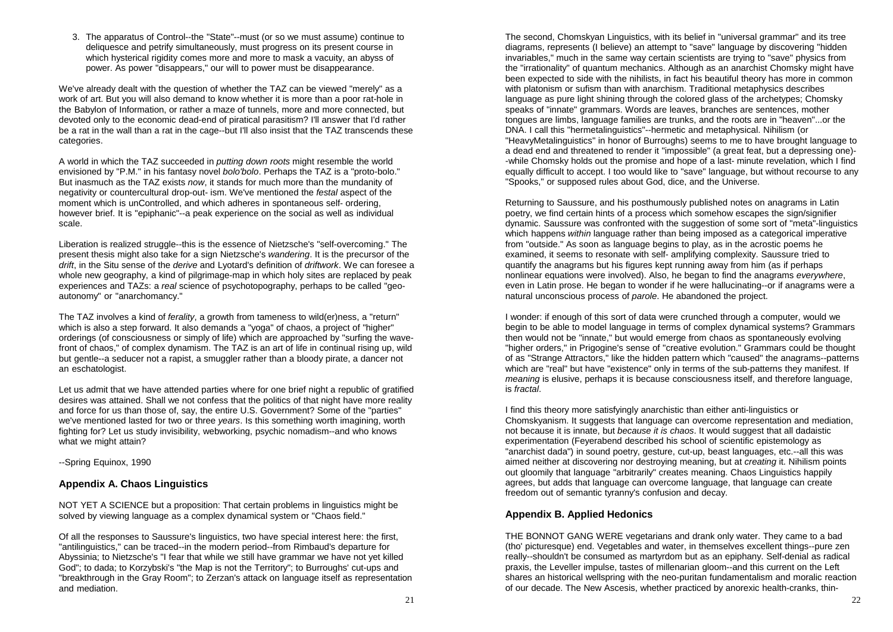3. The apparatus of Control--the "State"--must (or so we must assume) continue to deliquesce and petrify simultaneously, must progress on its present course in which hysterical rigidity comes more and more to mask a vacuity, an abyss of power. As power "disappears," our will to power must be disappearance.

We've already dealt with the question of whether the TAZ can be viewed "merely" as a work of art. But you will also demand to know whether it is more than a poor rat-hole in the Babylon of Information, or rather a maze of tunnels, more and more connected, but devoted only to the economic dead-end of piratical parasitism? I'll answer that I'd rather be a rat in the wall than a rat in the cage--but I'll also insist that the TAZ transcends these categories.

A world in which the TAZ succeeded in *putting down roots* might resemble the world envisioned by "P.M." in his fantasy novel *bolo'bolo*. Perhaps the TAZ is a "proto-bolo." But inasmuch as the TAZ exists *now*, it stands for much more than the mundanity of negativity or countercultural drop-out- ism. We've mentioned the *festal* aspect of the moment which is unControlled, and which adheres in spontaneous self- ordering, however brief. It is "epiphanic"--a peak experience on the social as well as individual scale.

Liberation is realized struggle--this is the essence of Nietzsche's "self-overcoming." The present thesis might also take for a sign Nietzsche's *wandering*. It is the precursor of the *drift*, in the Situ sense of the *derive* and Lyotard's definition of *driftwork*. We can foresee a whole new geography, a kind of pilgrimage-map in which holy sites are replaced by peak experiences and TAZs: a *real* science of psychotopography, perhaps to be called "geoautonomy" or "anarchomancy."

The TAZ involves a kind of *ferality*, a growth from tameness to wild(er)ness, a "return" which is also a step forward. It also demands a "yoga" of chaos, a project of "higher" orderings (of consciousness or simply of life) which are approached by "surfing the wavefront of chaos," of complex dynamism. The TAZ is an art of life in continual rising up, wild but gentle--a seducer not a rapist, a smuggler rather than a bloody pirate, a dancer not an eschatologist.

Let us admit that we have attended parties where for one brief night a republic of gratified desires was attained. Shall we not confess that the politics of that night have more reality and force for us than those of, say, the entire U.S. Government? Some of the "parties" we've mentioned lasted for two or three *years*. Is this something worth imagining, worth fighting for? Let us study invisibility, webworking, psychic nomadism--and who knows what we might attain?

--Spring Equinox, 1990

## **Appendix A. Chaos Linguistics**

NOT YET A SCIENCE but a proposition: That certain problems in linguistics might be solved by viewing language as a complex dynamical system or "Chaos field."

Of all the responses to Saussure's linguistics, two have special interest here: the first, "antilinguistics," can be traced--in the modern period--from Rimbaud's departure for Abyssinia; to Nietzsche's "I fear that while we still have grammar we have not yet killed God"; to dada; to Korzybski's "the Map is not the Territory"; to Burroughs' cut-ups and "breakthrough in the Gray Room"; to Zerzan's attack on language itself as representation and mediation.

The second, Chomskyan Linguistics, with its belief in "universal grammar" and its tree diagrams, represents (I believe) an attempt to "save" language by discovering "hidden invariables," much in the same way certain scientists are trying to "save" physics from the "irrationality" of quantum mechanics. Although as an anarchist Chomsky might have been expected to side with the nihilists, in fact his beautiful theory has more in common with platonism or sufism than with anarchism. Traditional metaphysics describes language as pure light shining through the colored glass of the archetypes; Chomsky speaks of "innate" grammars. Words are leaves, branches are sentences, mother tongues are limbs, language families are trunks, and the roots are in "heaven"...or the DNA. I call this "hermetalinguistics"--hermetic and metaphysical. Nihilism (or "HeavyMetalinguistics" in honor of Burroughs) seems to me to have brought language to a dead end and threatened to render it "impossible" (a great feat, but a depressing one)- -while Chomsky holds out the promise and hope of a last- minute revelation, which I find equally difficult to accept. I too would like to "save" language, but without recourse to any "Spooks," or supposed rules about God, dice, and the Universe.

Returning to Saussure, and his posthumously published notes on anagrams in Latin poetry, we find certain hints of a process which somehow escapes the sign/signifier dynamic. Saussure was confronted with the suggestion of some sort of "meta"-linguistics which happens *within* language rather than being imposed as a categorical imperative from "outside." As soon as language begins to play, as in the acrostic poems he examined, it seems to resonate with self- amplifying complexity. Saussure tried to quantify the anagrams but his figures kept running away from him (as if perhaps nonlinear equations were involved). Also, he began to find the anagrams *everywhere*, even in Latin prose. He began to wonder if he were hallucinating--or if anagrams were a natural unconscious process of *parole*. He abandoned the project.

I wonder: if enough of this sort of data were crunched through a computer, would we begin to be able to model language in terms of complex dynamical systems? Grammars then would not be "innate," but would emerge from chaos as spontaneously evolving "higher orders," in Prigogine's sense of "creative evolution." Grammars could be thought of as "Strange Attractors," like the hidden pattern which "caused" the anagrams--patterns which are "real" but have "existence" only in terms of the sub-patterns they manifest. If *meaning* is elusive, perhaps it is because consciousness itself, and therefore language, is *fractal*.

I find this theory more satisfyingly anarchistic than either anti-linguistics or Chomskyanism. It suggests that language can overcome representation and mediation, not because it is innate, but *because it is chaos*. It would suggest that all dadaistic experimentation (Feyerabend described his school of scientific epistemology as "anarchist dada") in sound poetry, gesture, cut-up, beast languages, etc.--all this was aimed neither at discovering nor destroying meaning, but at *creating* it. Nihilism points out gloomily that language "arbitrarily" creates meaning. Chaos Linguistics happily agrees, but adds that language can overcome language, that language can create freedom out of semantic tyranny's confusion and decay.

## **Appendix B. Applied Hedonics**

THE BONNOT GANG WERE vegetarians and drank only water. They came to a bad (tho' picturesque) end. Vegetables and water, in themselves excellent things--pure zen really--shouldn't be consumed as martyrdom but as an epiphany. Self-denial as radical praxis, the Leveller impulse, tastes of millenarian gloom--and this current on the Left shares an historical wellspring with the neo-puritan fundamentalism and moralic reaction of our decade. The New Ascesis, whether practiced by anorexic health-cranks, thin-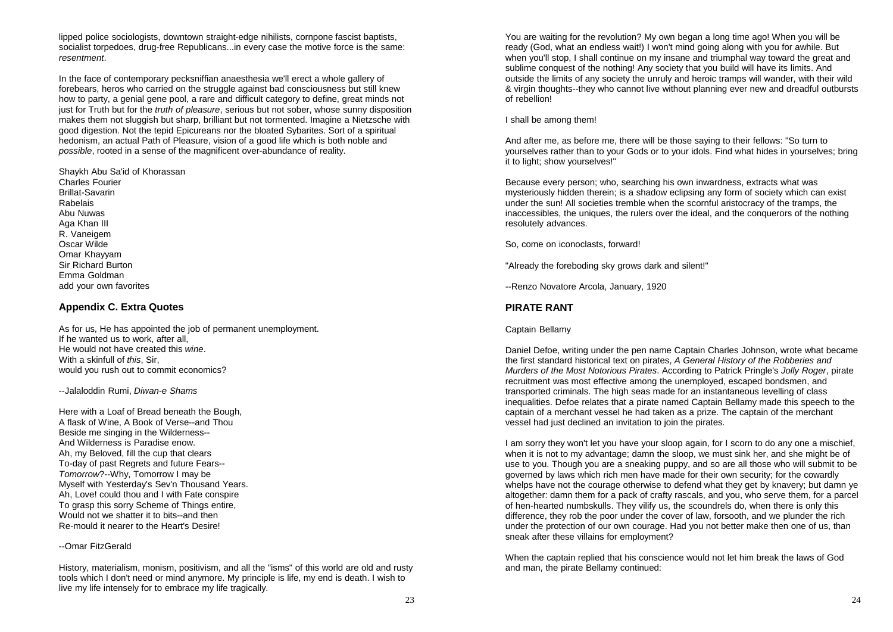lipped police sociologists, downtown straight-edge nihilists, cornpone fascist baptists, socialist torpedoes, drug-free Republicans...in every case the motive force is the same: *resentment*.

In the face of contemporary pecksniffian anaesthesia we'll erect a whole gallery of forebears, heros who carried on the struggle against bad consciousness but still knew how to party, a genial gene pool, a rare and difficult category to define, great minds not just for Truth but for the *truth of pleasure*, serious but not sober, whose sunny disposition makes them not sluggish but sharp, brilliant but not tormented. Imagine a Nietzsche with good digestion. Not the tepid Epicureans nor the bloated Sybarites. Sort of a spiritual hedonism, an actual Path of Pleasure, vision of a good life which is both noble and *possible*, rooted in a sense of the magnificent over-abundance of reality.

Shaykh Abu Sa'id of Khorassan Charles Fourier Brillat-Savarin Rabelais Abu Nuwas Aga Khan III R. Vaneigem Oscar Wilde Omar Khayyam Sir Richard Burton Emma Goldman add your own favorites

### **Appendix C. Extra Quotes**

As for us, He has appointed the job of permanent unemployment. If he wanted us to work, after all, He would not have created this *wine*. With a skinfull of *this*, Sir, would you rush out to commit economics?

--Jalaloddin Rumi, *Diwan-e Shams*

Here with a Loaf of Bread beneath the Bough, A flask of Wine, A Book of Verse--and Thou Beside me singing in the Wilderness-- And Wilderness is Paradise enow. Ah, my Beloved, fill the cup that clears To-day of past Regrets and future Fears-- *Tomorrow*?--Why, Tomorrow I may be Myself with Yesterday's Sev'n Thousand Years. Ah, Love! could thou and I with Fate conspire To grasp this sorry Scheme of Things entire, Would not we shatter it to bits--and then Re-mould it nearer to the Heart's Desire!

### --Omar FitzGerald

History, materialism, monism, positivism, and all the "isms" of this world are old and rusty tools which I don't need or mind anymore. My principle is life, my end is death. I wish to live my life intensely for to embrace my life tragically.

You are waiting for the revolution? My own began a long time ago! When you will be ready (God, what an endless wait!) I won't mind going along with you for awhile. But when you'll stop, I shall continue on my insane and triumphal way toward the great and sublime conquest of the nothing! Any society that you build will have its limits. And outside the limits of any society the unruly and heroic tramps will wander, with their wild & virgin thoughts--they who cannot live without planning ever new and dreadful outbursts of rebellion!

#### I shall be among them!

And after me, as before me, there will be those saying to their fellows: "So turn to yourselves rather than to your Gods or to your idols. Find what hides in yourselves; bring it to light; show yourselves!"

Because every person; who, searching his own inwardness, extracts what was mysteriously hidden therein; is a shadow eclipsing any form of society which can exist under the sun! All societies tremble when the scornful aristocracy of the tramps, the inaccessibles, the uniques, the rulers over the ideal, and the conquerors of the nothing resolutely advances.

So, come on iconoclasts, forward!

"Already the foreboding sky grows dark and silent!"

--Renzo Novatore Arcola, January, 1920

# **PIRATE RANT**

Captain Bellamy

Daniel Defoe, writing under the pen name Captain Charles Johnson, wrote what became the first standard historical text on pirates, *A General History of the Robberies and Murders of the Most Notorious Pirates*. According to Patrick Pringle's *Jolly Roger*, pirate recruitment was most effective among the unemployed, escaped bondsmen, and transported criminals. The high seas made for an instantaneous levelling of class inequalities. Defoe relates that a pirate named Captain Bellamy made this speech to the captain of a merchant vessel he had taken as a prize. The captain of the merchant vessel had just declined an invitation to join the pirates.

I am sorry they won't let you have your sloop again, for I scorn to do any one a mischief, when it is not to my advantage; damn the sloop, we must sink her, and she might be of use to you. Though you are a sneaking puppy, and so are all those who will submit to be governed by laws which rich men have made for their own security; for the cowardly whelps have not the courage otherwise to defend what they get by knavery; but damn ye altogether: damn them for a pack of crafty rascals, and you, who serve them, for a parcel of hen-hearted numbskulls. They vilify us, the scoundrels do, when there is only this difference, they rob the poor under the cover of law, forsooth, and we plunder the rich under the protection of our own courage. Had you not better make then one of us, than sneak after these villains for employment?

When the captain replied that his conscience would not let him break the laws of God and man, the pirate Bellamy continued: